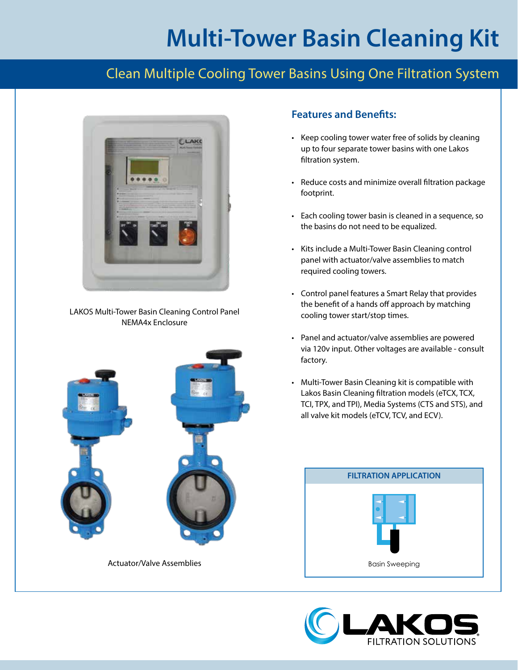# **Multi-Tower Basin Cleaning Kit**

### Clean Multiple Cooling Tower Basins Using One Filtration System



LAKOS Multi-Tower Basin Cleaning Control Panel NEMA4x Enclosure



Actuator/Valve Assemblies

#### **Features and Benefits:**

- Keep cooling tower water free of solids by cleaning up to four separate tower basins with one Lakos filtration system.
- Reduce costs and minimize overall filtration package footprint.
- Each cooling tower basin is cleaned in a sequence, so the basins do not need to be equalized.
- Kits include a Multi-Tower Basin Cleaning control panel with actuator/valve assemblies to match required cooling towers.
- Control panel features a Smart Relay that provides the benefit of a hands off approach by matching cooling tower start/stop times.
- Panel and actuator/valve assemblies are powered via 120v input. Other voltages are available - consult factory.
- Multi-Tower Basin Cleaning kit is compatible with Lakos Basin Cleaning filtration models (eTCX, TCX, TCI, TPX, and TPI), Media Systems (CTS and STS), and all valve kit models (eTCV, TCV, and ECV).